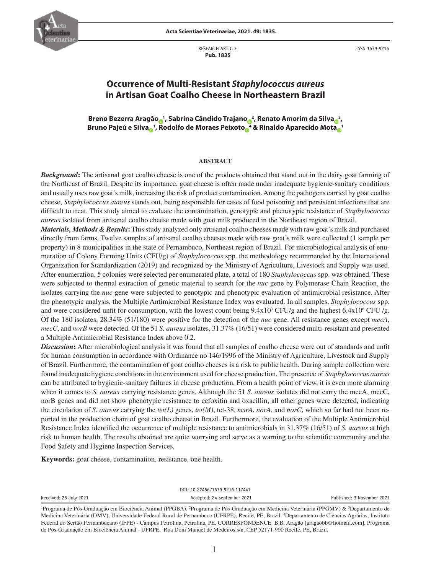

**Acta Scientiae Veterinariae, 2021. 49: 1835.**

RESEARCH ARTICLE  **Pub. 1835**

ISSN 1679-9216

# **Occurrence of Multi-Resistant** *Staphylococcus aureus* **in Artisan Goat Coalho Cheese in Northeastern Brazil**

**Breno Bezerra Aragã[o](https://orcid.org/0000-0002-9550-3692) <sup>1</sup> , Sabrina Cândido Trajan[o](https://orcid.org/0000-0003-1200-1206) <sup>2</sup> , Renato Amorim da Silv[a](https://orcid.org/0000-0002-8707-9190) <sup>3</sup> , Bruno Pajeú e Silv[a](https://orcid.org/0000-0002-0040-393X) <sup>1</sup> , Rodolfo de Moraes Peixot[o](https://orcid.org/0000-0002-5757-5935) <sup>4</sup> & Rinaldo Aparecido Mot[a](https://orcid.org/0000-0002-2844-5509) <sup>1</sup>**

#### **ABSTRACT**

*Background*: The artisanal goat coalho cheese is one of the products obtained that stand out in the dairy goat farming of the Northeast of Brazil. Despite its importance, goat cheese is often made under inadequate hygienic-sanitary conditions and usually uses raw goat's milk, increasing the risk of product contamination. Among the pathogens carried by goat coalho cheese, *Staphylococcus aureus* stands out, being responsible for cases of food poisoning and persistent infections that are difficult to treat. This study aimed to evaluate the contamination, genotypic and phenotypic resistance of *Staphylococcus aureus* isolated from artisanal coalho cheese made with goat milk produced in the Northeast region of Brazil.

*Materials, Methods & Results***:** This study analyzed only artisanal coalho cheeses made with raw goat's milk and purchased directly from farms. Twelve samples of artisanal coalho cheeses made with raw goat's milk were collected (1 sample per property) in 8 municipalities in the state of Pernambuco, Northeast region of Brazil. For microbiological analysis of enumeration of Colony Forming Units (CFU/g) of *Staphylococcus* spp. the methodology recommended by the International Organization for Standardization (2019) and recognized by the Ministry of Agriculture, Livestock and Supply was used. After enumeration, 5 colonies were selected per enumerated plate, a total of 180 *Staphylococcus* spp. was obtained. These were subjected to thermal extraction of genetic material to search for the *nuc* gene by Polymerase Chain Reaction, the isolates carrying the *nuc* gene were subjected to genotypic and phenotypic evaluation of antimicrobial resistance. After the phenotypic analysis, the Multiple Antimicrobial Resistance Index was evaluated. In all samples, *Staphylococcus* spp. and were considered unfit for consumption, with the lowest count being  $9.4 \times 10^3$  CFU/g and the highest  $6.4 \times 10^6$  CFU/g. Of the 180 isolates, 28.34% (51/180) were positive for the detection of the *nuc* gene. All resistance genes except *mecA*, *mecC*, and *norB* were detected. Of the 51 *S. aureus* isolates, 31.37% (16/51) were considered multi-resistant and presented a Multiple Antimicrobial Resistance Index above 0.2.

*Discussion***:** After microbiological analysis it was found that all samples of coalho cheese were out of standards and unfit for human consumption in accordance with Ordinance no 146/1996 of the Ministry of Agriculture, Livestock and Supply of Brazil. Furthermore, the contamination of goat coalho cheeses is a risk to public health. During sample collection were found inadequate hygiene conditions in the environment used for cheese production. The presence of *Staphylococcus aureus* can be attributed to hygienic-sanitary failures in cheese production. From a health point of view, it is even more alarming when it comes to *S. aureus* carrying resistance genes. Although the 51 *S. aureus* isolates did not carry the mecA, mecC, norB genes and did not show phenotypic resistance to cefoxitin and oxacillin, all other genes were detected, indicating the circulation of *S. aureus* carrying the *tet(L)* genes, *tet(M)*, tet-38, *msrA*, *norA*, and *norC*, which so far had not been reported in the production chain of goat coalho cheese in Brazil. Furthermore, the evaluation of the Multiple Antimicrobial Resistance Index identified the occurrence of multiple resistance to antimicrobials in 31.37% (16/51) of *S. aureus* at high risk to human health. The results obtained are quite worrying and serve as a warning to the scientific community and the Food Safety and Hygiene Inspection Services.

**Keywords:** goat cheese, contamination, resistance, one health.

DOI: 10.22456/1679-9216.117447 Received: 25 July 2021 **Accepted: 24 September 2021** Accepted: 24 September 2021 Published: 3 November 2021

<sup>&</sup>lt;sup>1</sup>Programa de Pós-Graduação em Biociência Animal (PPGBA), <sup>2</sup>Programa de Pós-Graduação em Medicina Veterinária (PPGMV) & <sup>3</sup>Departamento de Medicina Veterinária (DMV), Universidade Federal Rural de Pernambuco (UFRPE), Recife, PE, Brazil. 4 Departamento de Ciências Agrárias, Instituto Federal do Sertão Pernambucano (IFPE) - Campus Petrolina, Petrolina, PE. CORRESPONDENCE: B.B. Aragão [aragaobb@hotmail.com]. Programa de Pós-Graduação em Biociência Animal - UFRPE. Rua Dom Manuel de Medeiros s/n. CEP 52171-900 Recife, PE, Brazil.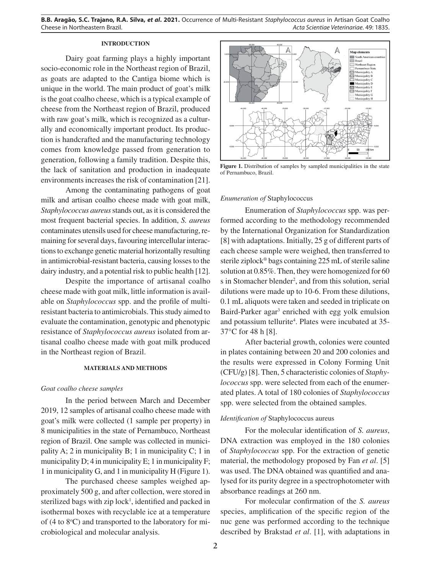### **INTRODUCTION**

Dairy goat farming plays a highly important socio-economic role in the Northeast region of Brazil, as goats are adapted to the Cantiga biome which is unique in the world. The main product of goat's milk is the goat coalho cheese, which is a typical example of cheese from the Northeast region of Brazil, produced with raw goat's milk, which is recognized as a culturally and economically important product. Its production is handcrafted and the manufacturing technology comes from knowledge passed from generation to generation, following a family tradition. Despite this, the lack of sanitation and production in inadequate environments increases the risk of contamination [21].

Among the contaminating pathogens of goat milk and artisan coalho cheese made with goat milk, *Staphylococcus aureus* stands out, as it is considered the most frequent bacterial species. In addition, *S. aureus*  contaminates utensils used for cheese manufacturing, remaining for several days, favouring intercellular interactions to exchange genetic material horizontally resulting in antimicrobial-resistant bacteria, causing losses to the dairy industry, and a potential risk to public health [12].

Despite the importance of artisanal coalho cheese made with goat milk, little information is available on *Staphylococcus* spp. and the profile of multiresistant bacteria to antimicrobials. This study aimed to evaluate the contamination, genotypic and phenotypic resistance of *Staphylococcus aureus* isolated from artisanal coalho cheese made with goat milk produced in the Northeast region of Brazil.

#### **MATERIALS AND METHODS**

### *Goat coalho cheese samples*

In the period between March and December 2019, 12 samples of artisanal coalho cheese made with goat's milk were collected (1 sample per property) in 8 municipalities in the state of Pernambuco, Northeast region of Brazil. One sample was collected in municipality A; 2 in municipality B; 1 in municipality C; 1 in municipality D; 4 in municipality E; 1 in municipality F; 1 in municipality G, and 1 in municipality H (Figure 1).

The purchased cheese samples weighed approximately 500 g, and after collection, were stored in sterilized bags with zip lock<sup>1</sup>, identified and packed in isothermal boxes with recyclable ice at a temperature of  $(4 \text{ to } 8^{\circ}\text{C})$  and transported to the laboratory for microbiological and molecular analysis.



Figure 1. Distribution of samples by sampled municipalities in the state of Pernambuco, Brazil.

#### *Enumeration of* Staphylococcus

Enumeration of *Staphylococcus* spp. was performed according to the methodology recommended by the International Organization for Standardization [8] with adaptations. Initially, 25 g of different parts of each cheese sample were weighed, then transferred to sterile ziplock® bags containing 225 mL of sterile saline solution at 0.85%. Then, they were homogenized for 60 s in Stomacher blender<sup>2</sup>, and from this solution, serial dilutions were made up to 10-6. From these dilutions, 0.1 mL aliquots were taken and seeded in triplicate on Baird-Parker agar3 enriched with egg yolk emulsion and potassium tellurite<sup>4</sup>. Plates were incubated at 35-37°C for 48 h [8].

After bacterial growth, colonies were counted in plates containing between 20 and 200 colonies and the results were expressed in Colony Forming Unit (CFU/g) [8]. Then, 5 characteristic colonies of *Staphylococcus* spp. were selected from each of the enumerated plates. A total of 180 colonies of *Staphylococcus* spp. were selected from the obtained samples.

### *Identification of* Staphylococcus aureus

For the molecular identification of *S. aureus*, DNA extraction was employed in the 180 colonies of *Staphylococcus* spp. For the extraction of genetic material, the methodology proposed by Fan *et al*. [5] was used. The DNA obtained was quantified and analysed for its purity degree in a spectrophotometer with absorbance readings at 260 nm.

For molecular confirmation of the *S. aureus*  species, amplification of the specific region of the nuc gene was performed according to the technique described by Brakstad *et al*. [1], with adaptations in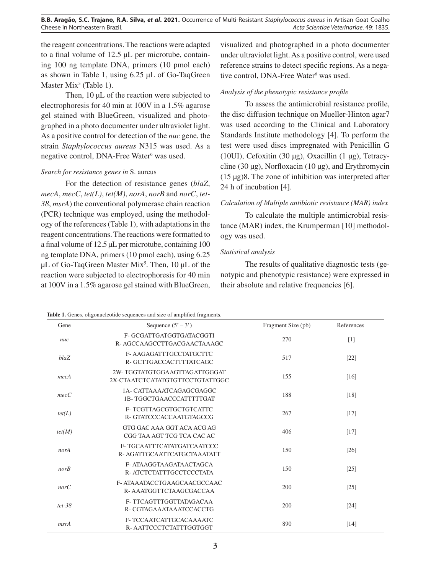the reagent concentrations. The reactions were adapted to a final volume of 12.5 µL per microtube, containing 100 ng template DNA, primers (10 pmol each) as shown in Table 1, using 6.25 µL of Go-TaqGreen Master  $Mix<sup>5</sup>$  (Table 1).

Then, 10  $\mu$ L of the reaction were subjected to electrophoresis for 40 min at 100V in a 1.5% agarose gel stained with BlueGreen, visualized and photographed in a photo documenter under ultraviolet light. As a positive control for detection of the *nuc* gene, the strain *Staphylococcus aureus* N315 was used. As a negative control, DNA-Free Water<sup>6</sup> was used.

## *Search for resistance genes in* S. aureus

For the detection of resistance genes (*blaZ*, *mecA*, *mecC*, *tet(L)*, *tet(M)*, *norA*, *norB* and *norC*, *tet-38*, *msrA*) the conventional polymerase chain reaction (PCR) technique was employed, using the methodology of the references (Table 1), with adaptations in the reagent concentrations. The reactions were formatted to a final volume of 12.5 µL per microtube, containing 100 ng template DNA, primers (10 pmol each), using 6.25  $\mu$ L of Go-TaqGreen Master Mix<sup>5</sup>. Then, 10  $\mu$ L of the reaction were subjected to electrophoresis for 40 min at 100V in a 1.5% agarose gel stained with BlueGreen,

visualized and photographed in a photo documenter under ultraviolet light. As a positive control, were used reference strains to detect specific regions. As a negative control, DNA-Free Water<sup>6</sup> was used.

# *Analysis of the phenotypic resistance profile*

To assess the antimicrobial resistance profile, the disc diffusion technique on Mueller-Hinton agar7 was used according to the Clinical and Laboratory Standards Institute methodology [4]. To perform the test were used discs impregnated with Penicillin G (10UI), Cefoxitin (30 µg), Oxacillin (1 µg), Tetracycline (30  $\mu$ g), Norfloxacin (10  $\mu$ g), and Erythromycin (15 µg)8. The zone of inhibition was interpreted after 24 h of incubation [4].

# *Calculation of Multiple antibiotic resistance (MAR) index*

To calculate the multiple antimicrobial resistance (MAR) index, the Krumperman [10] methodology was used.

# *Statistical analysis*

The results of qualitative diagnostic tests (genotypic and phenotypic resistance) were expressed in their absolute and relative frequencies [6].

| <b>Table 1.</b> Genes, oligonucleotide sequences and size of amplified fragments. |                      |  |  |
|-----------------------------------------------------------------------------------|----------------------|--|--|
| Gene.                                                                             | Sequence $(5' - 3')$ |  |  |

| Gene       | Sequence $(5' - 3')$                                             | Fragment Size (pb) | References         |
|------------|------------------------------------------------------------------|--------------------|--------------------|
| nuc        | F- GCGATTGATGGTGATACGGTI<br>R-AGCCAAGCCTTGACGAACTAAAGC           | 270                | $[1]$              |
| blaZ       | F-AAGAGATTTGCCTATGCTTC<br>R-GCTTGACCACTTTTATCAGC                 | 517                | [22]               |
| mecA       | 2W-TGGTATGTGGAAGTTAGATTGGGAT<br>2X-CTA ATCTCATATGTGTTCCTGTATTGGC | 155                | [16]               |
| mecC       | 1A- CATTA A A ATCA GAG CGAGGC<br><b>1B-TGGCTGAACCCATTTTGAT</b>   | 188                | [18]               |
| tet(L)     | F-TCGTTAGCGTGCTGTCATTC<br>R-GTATCCCACCAATGTAGCCG                 | 267                | $[17]$             |
| tet(M)     | GTG GAC AAA GGT ACA ACG AG<br>CGG TAA AGT TCG TCA CAC AC         | 406                | $[17]$             |
| norA       | F- TGCAATTTCATATGATCAATCCC<br>R- AGATTGCAATTCATGCTAAATATT        | 150                | $\lceil 26 \rceil$ |
| norB       | F- ATAAGGTAAGATAACTAGCA<br>R- ATCTCTATTTGCCTCCCTATA              | 150                | $[25]$             |
| norC       | F-ATAAATACCTGAAGCAACGCCAAC<br>R-AAATGGTTCTAAGCGACCAA             | 200                | $[25]$             |
| $tet - 38$ | F-TTCAGTTTGGTTATAGACAA<br>R- CGTAGAAATAAATCCACCTG                | 200                | $[24]$             |
| msrA       | F-TCCAATCATTGCACAAAATC<br>R-AATTCCCTCTATTTGGTGGT                 | 890                | [14]               |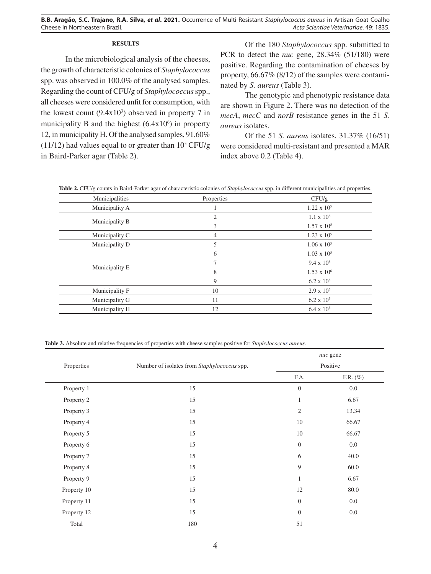### **RESULTS**

In the microbiological analysis of the cheeses, the growth of characteristic colonies of *Staphylococcus* spp. was observed in 100.0% of the analysed samples. Regarding the count of CFU/g of *Staphylococcus* spp., all cheeses were considered unfit for consumption, with the lowest count  $(9.4x10<sup>3</sup>)$  observed in property 7 in municipality B and the highest  $(6.4 \times 10^6)$  in property 12, in municipality H. Of the analysed samples, 91.60%  $(11/12)$  had values equal to or greater than  $10<sup>5</sup> CFU/g$ in Baird-Parker agar (Table 2).

Of the 180 *Staphylococcus* spp. submitted to PCR to detect the *nuc* gene, 28.34% (51/180) were positive. Regarding the contamination of cheeses by property, 66.67% (8/12) of the samples were contaminated by *S. aureus* (Table 3).

The genotypic and phenotypic resistance data are shown in Figure 2. There was no detection of the *mecA*, *mecC* and *norB* resistance genes in the 51 *S. aureus* isolates.

Of the 51 *S. aureus* isolates, 31.37% (16/51) were considered multi-resistant and presented a MAR index above 0.2 (Table 4).

**Table 2.** CFU/g counts in Baird-Parker agar of characteristic colonies of *Staphylococcus* spp. in different municipalities and properties.

| Municipalities | Properties | CFU/g                |
|----------------|------------|----------------------|
| Municipality A |            | $1.22 \times 10^5$   |
|                | 2          | $1.1 \times 10^6$    |
| Municipality B | 3          | $1.57 \times 10^{5}$ |
| Municipality C | 4          | $1.23 \times 10^5$   |
| Municipality D | 5          | $1.06 \times 10^5$   |
|                | 6          | $1.03 \times 10^{5}$ |
|                |            | $9.4 \times 10^3$    |
| Municipality E | 8          | $1.53 \times 10^{6}$ |
|                | 9          | $6.2 \times 10^{5}$  |
| Municipality F | 10         | $2.9 \times 10^5$    |
| Municipality G | 11         | $6.2 \times 10^{5}$  |
| Municipality H | 12         | $6.4 \times 10^{6}$  |

**Table 3.** Absolute and relative frequencies of properties with cheese samples positive for *Staphylococcus aureus*.

|             | Number of isolates from Staphylococcus spp. | nuc gene<br>Positive |             |
|-------------|---------------------------------------------|----------------------|-------------|
| Properties  |                                             |                      |             |
|             |                                             | F.A.                 | F.R. $(\%)$ |
| Property 1  | 15                                          | $\mathbf{0}$         | 0.0         |
| Property 2  | 15                                          | $\mathbf{1}$         | 6.67        |
| Property 3  | 15                                          | $\mathfrak{2}$       | 13.34       |
| Property 4  | 15                                          | 10                   | 66.67       |
| Property 5  | 15                                          | 10                   | 66.67       |
| Property 6  | 15                                          | $\mathbf{0}$         | $0.0\,$     |
| Property 7  | 15                                          | 6                    | 40.0        |
| Property 8  | 15                                          | 9                    | 60.0        |
| Property 9  | 15                                          | $\mathbf{1}$         | 6.67        |
| Property 10 | 15                                          | 12                   | 80.0        |
| Property 11 | 15                                          | $\mathbf{0}$         | $0.0\,$     |
| Property 12 | 15                                          | $\mathbf{0}$         | $0.0\,$     |
| Total       | 180                                         | 51                   |             |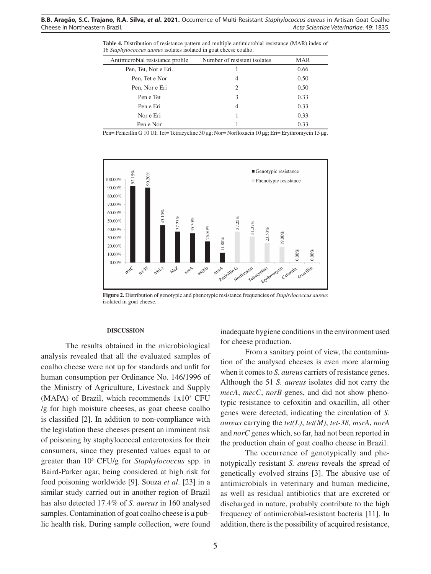**Table 4.** Distribution of resistance pattern and multiple antimicrobial resistance (MAR) index of 16 *Staphylococcus aureus* isolates isolated in goat cheese coalho.

| Antimicrobial resistance profile | Number of resistant isolates | <b>MAR</b> |
|----------------------------------|------------------------------|------------|
| Pen, Tet, Nor e Eri.             |                              | 0.66       |
| Pen, Tet e Nor                   | 4                            | 0.50       |
| Pen, Nor e Eri                   | $\mathcal{D}_{\mathcal{L}}$  | 0.50       |
| Pen e Tet                        | 3                            | 0.33       |
| Pen e Eri                        | 4                            | 0.33       |
| Nor e Eri                        |                              | 0.33       |
| Pen e Nor                        |                              | 0.33       |

Pen= Penicillin G 10 UI; Tet= Tetracycline 30 µg; Nor= Norfloxacin 10 µg; Eri= Erythromycin 15 µg.



**Figure 2.** Distribution of genotypic and phenotypic resistance frequencies of *Staphylococcus aureus*  isolated in goat cheese.

### **DISCUSSION**

The results obtained in the microbiological analysis revealed that all the evaluated samples of coalho cheese were not up for standards and unfit for human consumption per Ordinance No. 146/1996 of the Ministry of Agriculture, Livestock and Supply  $(MAPA)$  of Brazil, which recommends  $1x10<sup>3</sup>$  CFU /g for high moisture cheeses, as goat cheese coalho is classified [2]. In addition to non-compliance with the legislation these cheeses present an imminent risk of poisoning by staphylococcal enterotoxins for their consumers, since they presented values equal to or greater than 105 CFU/g for *Staphylococcus* spp. in Baird-Parker agar, being considered at high risk for food poisoning worldwide [9]. Souza *et al*. [23] in a similar study carried out in another region of Brazil has also detected 17.4% of *S. aureus* in 160 analysed samples. Contamination of goat coalho cheese is a public health risk. During sample collection, were found

inadequate hygiene conditions in the environment used for cheese production.

From a sanitary point of view, the contamination of the analysed cheeses is even more alarming when it comes to *S. aureus* carriers of resistance genes. Although the 51 *S. aureus* isolates did not carry the *mecA*, *mecC*, *norB* genes, and did not show phenotypic resistance to cefoxitin and oxacillin, all other genes were detected, indicating the circulation of *S. aureus* carrying the *tet(L)*, *tet(M)*, *tet-38, msrA*, *norA* and *norC* genes which, so far, had not been reported in the production chain of goat coalho cheese in Brazil.

The occurrence of genotypically and phenotypically resistant *S. aureus* reveals the spread of genetically evolved strains [3]. The abusive use of antimicrobials in veterinary and human medicine, as well as residual antibiotics that are excreted or discharged in nature, probably contribute to the high frequency of antimicrobial-resistant bacteria [11]. In addition, there is the possibility of acquired resistance,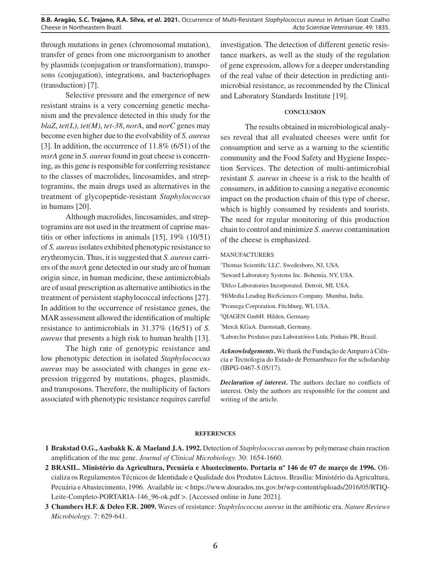through mutations in genes (chromosomal mutation), transfer of genes from one microorganism to another by plasmids (conjugation or transformation), transposons (conjugation), integrations, and bacteriophages (transduction) [7].

Selective pressure and the emergence of new resistant strains is a very concerning genetic mechanism and the prevalence detected in this study for the *blaZ*, *tet(L)*, *tet(M)*, *tet-38*, *norA*, and *norC* genes may become even higher due to the evolvability of *S. aureus*  [3]. In addition, the occurrence of 11.8% (6/51) of the *msrA* gene in *S. aureus* found in goat cheese is concerning, as this gene is responsible for conferring resistance to the classes of macrolides, lincosamides, and streptogramins, the main drugs used as alternatives in the treatment of glycopeptide-resistant *Staphylococcus* in humans [20].

Although macrolides, lincosamides, and streptogramins are not used in the treatment of caprine mastitis or other infections in animals [15], 19% (10/51) of *S. aureus* isolates exhibited phenotypic resistance to erythromycin. Thus, it is suggested that *S. aureus* carriers of the *msrA* gene detected in our study are of human origin since, in human medicine, these antimicrobials are of usual prescription as alternative antibiotics in the treatment of persistent staphylococcal infections [27]. In addition to the occurrence of resistance genes, the MAR assessment allowed the identification of multiple resistance to antimicrobials in 31.37% (16/51) of *S. aureus* that presents a high risk to human health [13].

The high rate of genotypic resistance and low phenotypic detection in isolated *Staphylococcus aureus* may be associated with changes in gene expression triggered by mutations, phages, plasmids, and transposons. Therefore, the multiplicity of factors associated with phenotypic resistance requires careful

investigation. The detection of different genetic resistance markers, as well as the study of the regulation of gene expression, allows for a deeper understanding of the real value of their detection in predicting antimicrobial resistance, as recommended by the Clinical and Laboratory Standards Institute [19].

### **CONCLUSION**

The results obtained in microbiological analyses reveal that all evaluated cheeses were unfit for consumption and serve as a warning to the scientific community and the Food Safety and Hygiene Inspection Services. The detection of multi-antimicrobial resistant *S. aureus* in cheese is a risk to the health of consumers, in addition to causing a negative economic impact on the production chain of this type of cheese, which is highly consumed by residents and tourists. The need for regular monitoring of this production chain to control and minimize *S. aureus* contamination of the cheese is emphasized.

#### MANUFACTURERS

 Thomas Scientific LLC. Swedesboro, NJ, USA. Seward Laboratory Systems Inc. Bohemia, NY, USA. Difco Laboratories Incorporated. Detroit, MI, USA. HiMedia Leading BioSciences Company. Mumbai, India. Promega Corporation. Fitchburg, WI, USA. QIAGEN GmbH. Hilden, Germany. Merck KGaA. Darmstadt, Germany. Laborclin Produtos para Laboratórios Ltda. Pinhais PR, Brazil.

*Acknowledgements***.** We thank the Fundação de Amparo à Ciência e Tecnologia do Estado de Pernambuco for the scholarship (IBPG-0467-5.05/17).

*Declaration of interest***.** The authors declare no conflicts of interest. Only the authors are responsible for the content and writing of the article.

#### **REFERENCES**

- **1 Brakstad O.G., Aasbakk K. & Maeland J.A. 1992.** Detection of *Staphylococcus aureus* by polymerase chain reaction amplification of the nuc gene. *Journal of Clinical Microbiology*. 30: 1654-1660.
- **2 BRASIL. Ministério da Agricultura, Pecuária e Abastecimento. Portaria nº 146 de 07 de março de 1996.** Oficializa os Regulamentos Técnicos de Identidade e Qualidade dos Produtos Lácteos. Brasília: Ministério da Agricultura, Pecuária e Abastecimento, 1996. Available in: < https://www.dourados.ms.gov.br/wp-content/uploads/2016/05/RTIQ-Leite-Completo-PORTARIA-146\_96-ok.pdf >. [Accessed online in June 2021].
- **3 Chambers H.F. & Deleo F.R. 2009.** Waves of resistance: *Staphylococcus aureus* in the antibiotic era. *Nature Reviews Microbiology*. 7: 629-641.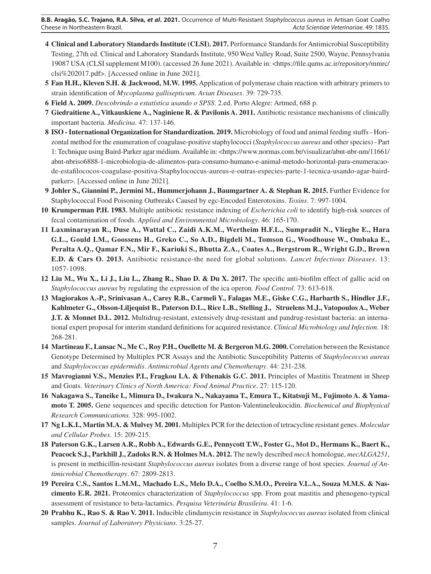- **4 Clinical and Laboratory Standards Institute (CLSI). 2017.** Performance Standards for Antimicrobial Susceptibility Testing, 27th ed. Clinical and Laboratory Standards Institute, 950 West Valley Road, Suite 2500, Wayne, Pennsylvania 19087 USA (CLSI supplement M100). (accessed 26 June 2021). Available in: <https://file.qums.ac.ir/repository/mmrc/ clsi%202017.pdf>. [Accessed online in June 2021].
- **5 Fan H.H., Kleven S.H. & Jackwood, M.W. 1995.** Application of polymerase chain reaction with arbitrary primers to strain identification of *Mycoplasma gallisepticum*. *Avian Diseases*. 39: 729-735.
- **6 Field A. 2009.** *Descobrindo a estatística usando o SPSS*. 2.ed. Porto Alegre: Artmed, 688 p.
- **7 Giedraitiene A., Vitkauskiene A., Naginiene R. & Pavilonis A. 2011.** Antibiotic resistance mechanisms of clinically important bacteria. *Medicina*. 47: 137-146.
- **8 ISO International Organization for Standardization. 2019.** Microbiology of food and animal feeding stuffs Horizontal method for the enumeration of coagulase-positive staphylococci (*Staphylococcus aureus* and other species) - Part 1: Technique using Baird-Parker agar médium. Available in: <https://www.normas.com.br/visualizar/abnt-nbr-nm/11661/ abnt-nbriso6888-1-microbiologia-de-alimentos-para-consumo-humano-e-animal-metodo-horizontal-para-enumeracaode-estafilococos-coagulase-positiva-Staphylococcus-aureus-e-outras-especies-parte-1-tecnica-usando-agar-bairdparker>. [Accessed online in June 2021].
- **9 Johler S., Giannini P., Jermini M., Hummerjohann J., Baumgartner A. & Stephan R. 2015.** Further Evidence for Staphylococcal Food Poisoning Outbreaks Caused by egc-Encoded Enterotoxins. *Toxins*. 7: 997-1004.
- **10 Krumperman P.H. 1983.** Multiple antibiotic resistance indexing of *Escherichia coli* to identify high-risk sources of fecal contamination of foods. *Applied and Environmental Microbiology*. 46: 165-170.
- **11 Laxminarayan R., Duse A., Wattal C., Zaidi A.K.M., Wertheim H.F.L., Sumpradit N., Vlieghe E., Hara G.L., Gould I.M., Goossens H., Greko C., So A.D., Bigdeli M., Tomson G., Woodhouse W., Ombaka E., Peralta A.Q., Qamar F.N., Mir F., Kariuki S., Bhutta Z.A., Coates A., Bergstrom R., Wright G.D., Brown E.D. & Cars O. 2013.** Antibiotic resistance-the need for global solutions. *Lancet Infectious Diseases*. 13: 1057-1098.
- **12 Liu M., Wu X., Li J., Liu L., Zhang R., Shao D. & Du X. 2017.** The specific anti-biofilm effect of gallic acid on *Staphylococcus aureus* by regulating the expression of the ica operon. *Food Control*. 73: 613-618.
- **13 Magiorakos A.-P., Srinivasan A., Carey R.B., Carmeli Y., Falagas M.E., Giske C.G., Harbarth S., Hindler J.F., Kahlmeter G., Olsson-Liljequist B., Paterson D.L., Rice L.B., Stelling J., Struelens M.J., Vatopoulos A., Weber J.T. & Monnet D.L. 2012.** Multidrug-resistant, extensively drug-resistant and pandrug-resistant bacteria: an international expert proposal for interim standard definitions for acquired resistance. *Clinical Microbiology and Infection*. 18: 268-281.
- **14 Martineau F., Lansac N., Me C., Roy P.H., Ouellette M. & Bergeron M.G. 2000.** Correlation between the Resistance Genotype Determined by Multiplex PCR Assays and the Antibiotic Susceptibility Patterns of *Staphylococcus aureus* and *Staphylococcus epidermidis*. *Antimicrobial Agents and Chemotherapy*. 44: 231-238.
- **15 Mavrogianni V.S., Menzies P.I., Fragkou I.A. & Fthenakis G.C. 2011.** Principles of Mastitis Treatment in Sheep and Goats. *Veterinary Clinics of North America: Food Animal Practice*. 27: 115-120.
- **16 Nakagawa S., Taneike I., Mimura D., Iwakura N., Nakayama T., Emura T., Kitatsuji M., Fujimoto A. & Yamamoto T. 2005.** Gene sequences and specific detection for Panton-Valentineleukocidin. *Biochemical and Biophysical Research Communications.* 328: 995-1002.
- **17 Ng L.K.I., Martin M.A. & Mulvey M. 2001.** Multiplex PCR for the detection of tetracycline resistant genes. *Molecular and Cellular Probes*. 15: 209-215.
- **18 Paterson G.K., Larsen A.R., Robb A., Edwards G.E., Pennycott T.W., Foster G., Mot D., Hermans K., Baert K., Peacock S.J., Parkhill J., Zadoks R.N. & Holmes M.A. 2012.** The newly described *mecA* homologue, *mecALGA251*, is present in methicillin-resistant *Staphylococcus aureus* isolates from a diverse range of host species. *Journal of Antimicrobial Chemotherapy*. 67: 2809-2813.
- **19 Pereira C.S., Santos L.M.M., Machado L.S., Melo D.A., Coelho S.M.O., Pereira V.L.A., Souza M.M.S. & Nascimento E.R. 2021.** Proteomics characterization of *Staphylococcus* spp. From goat mastitis and phenogeno-typical assessment of resistance to beta-lactamics. *Pesquisa Veterinária Brasileira*. 41: 1-6.
- **20 Prabhu K., Rao S. & Rao V. 2011.** Inducible clindamycin resistance in *Staphylococcus aureus* isolated from clinical samples. *Journal of Laboratory Physicians*. 3:25-27.